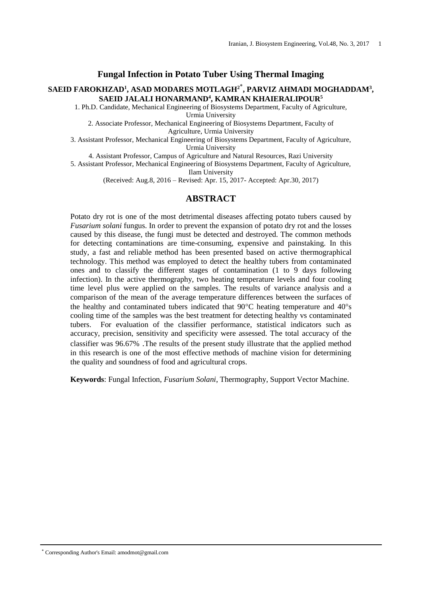#### **Fungal Infection in Potato Tuber Using Thermal Imaging**

### **SAEID FAROKHZAD<sup>1</sup> , ASAD MODARES MOTLAGH<sup>2</sup>**\* **, PARVIZ AHMADI MOGHADDAM<sup>3</sup> , SAEID JALALI HONARMAND<sup>4</sup> , KAMRAN KHAIERALIPOUR<sup>5</sup>**

1. Ph.D. Candidate, Mechanical Engineering of Biosystems Department, Faculty of Agriculture, Urmia University

2. Associate Professor, Mechanical Engineering of Biosystems Department, Faculty of Agriculture, Urmia University

3. Assistant Professor, Mechanical Engineering of Biosystems Department, Faculty of Agriculture, Urmia University

4. Assistant Professor, Campus of Agriculture and Natural Resources, Razi University

5. Assistant Professor, Mechanical Engineering of Biosystems Department, Faculty of Agriculture, Ilam University

(Received: Aug.8, 2016 – Revised: Apr. 15, 2017- Accepted: Apr.30, 2017)

### **ABSTRACT**

Potato dry rot is one of the most detrimental diseases affecting potato tubers caused by *Fusarium solani* fungus. In order to prevent the expansion of potato dry rot and the losses caused by this disease, the fungi must be detected and destroyed. The common methods for detecting contaminations are time-consuming, expensive and painstaking. In this study, a fast and reliable method has been presented based on active thermographical technology. This method was employed to detect the healthy tubers from contaminated ones and to classify the different stages of contamination (1 to 9 days following infection). In the active thermography, two heating temperature levels and four cooling time level plus were applied on the samples. The results of variance analysis and a comparison of the mean of the average temperature differences between the surfaces of the healthy and contaminated tubers indicated that  $90^{\circ}$ C heating temperature and  $40^{\circ}$ s cooling time of the samples was the best treatment for detecting healthy vs contaminated tubers. For evaluation of the classifier performance, statistical indicators such as accuracy, precision, sensitivity and specificity were assessed. The total accuracy of the classifier was 96.67% .The results of the present study illustrate that the applied method in this research is one of the most effective methods of machine vision for determining the quality and soundness of food and agricultural crops.

**Keywords**: Fungal Infection, *Fusarium Solani*, Thermography, Support Vector Machine.

\* Corresponding Author's Email: amodmot@gmail.com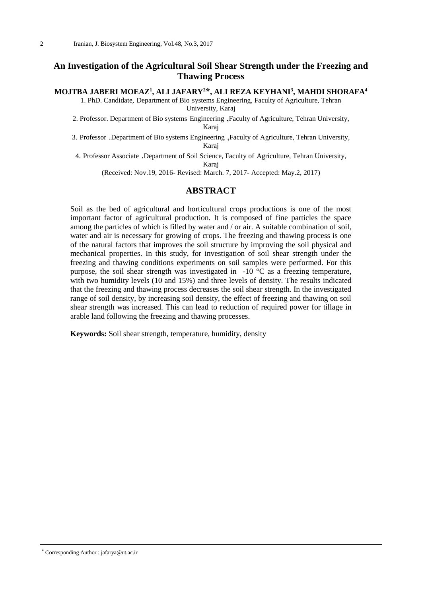# **An Investigation of the Agricultural Soil Shear Strength under the Freezing and Thawing Process**

### **MOJTBA JABERI MOEAZ<sup>1</sup> , ALI JAFARY<sup>2</sup>\*, ALI REZA KEYHANI<sup>3</sup> , MAHDI SHORAFA<sup>4</sup>**

1. PhD. Candidate, Department of Bio systems Engineering, Faculty of Agriculture, Tehran University, Karaj

2. Professor. Department of Bio systems Engineering ,Faculty of Agriculture, Tehran University, Karaj

3. Professor .Department of Bio systems Engineering ,Faculty of Agriculture, Tehran University, Karaj

4. Professor Associate .Department of Soil Science, Faculty of Agriculture, Tehran University, Karaj

(Received: Nov.19, 2016- Revised: March. 7, 2017- Accepted: May.2, 2017)

### **ABSTRACT**

Soil as the bed of agricultural and horticultural crops productions is one of the most important factor of agricultural production. It is composed of fine particles the space among the particles of which is filled by water and / or air. A suitable combination of soil, water and air is necessary for growing of crops. The freezing and thawing process is one of the natural factors that improves the soil structure by improving the soil physical and mechanical properties. In this study, for investigation of soil shear strength under the freezing and thawing conditions experiments on soil samples were performed. For this purpose, the soil shear strength was investigated in  $-10$  °C as a freezing temperature, with two humidity levels (10 and 15%) and three levels of density. The results indicated that the freezing and thawing process decreases the soil shear strength. In the investigated range of soil density, by increasing soil density, the effect of freezing and thawing on soil shear strength was increased. This can lead to reduction of required power for tillage in arable land following the freezing and thawing processes.

**Keywords:** Soil shear strength, temperature, humidity, density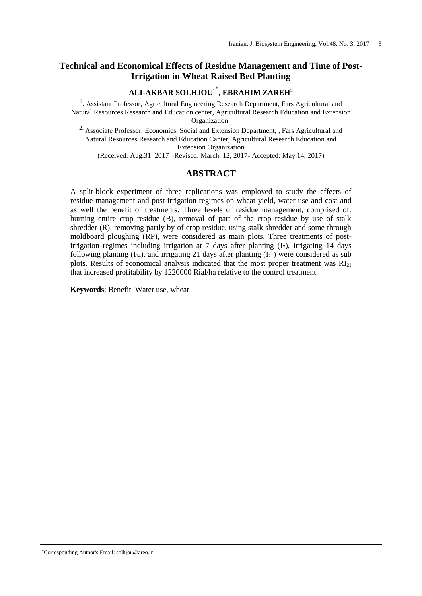# **Technical and Economical Effects of Residue Management and Time of Post-Irrigation in Wheat Raised Bed Planting**

# **ALI-AKBAR SOLHJOU<sup>1</sup>**\* **, EBRAHIM ZAREH<sup>2</sup>**

<sup>1</sup>. Assistant Professor, Agricultural Engineering Research Department, Fars Agricultural and Natural Resources Research and Education center, Agricultural Research Education and Extension Organization

<sup>2.</sup> Associate Professor, Economics, Social and Extension Department, , Fars Agricultural and Natural Resources Research and Education Canter, Agricultural Research Education and Extension Organization

(Received: Aug.31. 2017 –Revised: March. 12, 2017- Accepted: May.14, 2017)

# **ABSTRACT**

A split-block experiment of three replications was employed to study the effects of residue management and post-irrigation regimes on wheat yield, water use and cost and as well the benefit of treatments. Three levels of residue management, comprised of: burning entire crop residue (B), removal of part of the crop residue by use of stalk shredder (R), removing partly by of crop residue, using stalk shredder and some through moldboard ploughing (RP), were considered as main plots. Three treatments of postirrigation regimes including irrigation at 7 days after planting  $(I_7)$ , irrigating 14 days following planting  $(I_{14})$ , and irrigating 21 days after planting  $(I_{21})$  were considered as sub plots. Results of economical analysis indicated that the most proper treatment was  $RI<sub>21</sub>$ that increased profitability by 1220000 Rial/ha relative to the control treatment.

**Keywords**: Benefit, Water use, wheat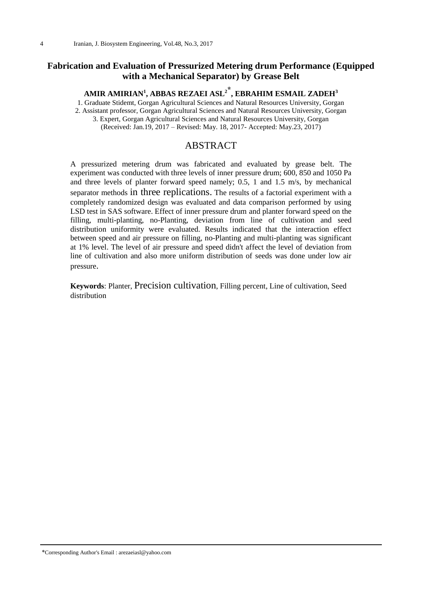# **Fabrication and Evaluation of Pressurized Metering drum Performance (Equipped with a Mechanical Separator) by Grease Belt**

# **AMIR AMIRIAN<sup>1</sup> , ABBAS REZAEI ASL<sup>2</sup>\* , EBRAHIM ESMAIL ZADEH<sup>3</sup>**

1. Graduate Stidemt, Gorgan Agricultural Sciences and Natural Resources University, Gorgan 2. Assistant professor, Gorgan Agricultural Sciences and Natural Resources University, Gorgan

3. Expert, Gorgan Agricultural Sciences and Natural Resources University, Gorgan

(Received: Jan.19, 2017 – Revised: May. 18, 2017- Accepted: May.23, 2017)

# **ABSTRACT**

A pressurized metering drum was fabricated and evaluated by grease belt. The experiment was conducted with three levels of inner pressure drum; 600, 850 and 1050 Pa and three levels of planter forward speed namely; 0.5, 1 and 1.5 m/s, by mechanical separator methods in three replications. The results of a factorial experiment with a completely randomized design was evaluated and data comparison performed by using LSD test in SAS software. Effect of inner pressure drum and planter forward speed on the filling, multi-planting, no-Planting, deviation from line of cultivation and seed distribution uniformity were evaluated. Results indicated that the interaction effect between speed and air pressure on filling, no-Planting and multi-planting was significant at 1% level. The level of air pressure and speed didn't affect the level of deviation from line of cultivation and also more uniform distribution of seeds was done under low air pressure.

**Keywords**: Planter, Precision cultivation, Filling percent, Line of cultivation, Seed distribution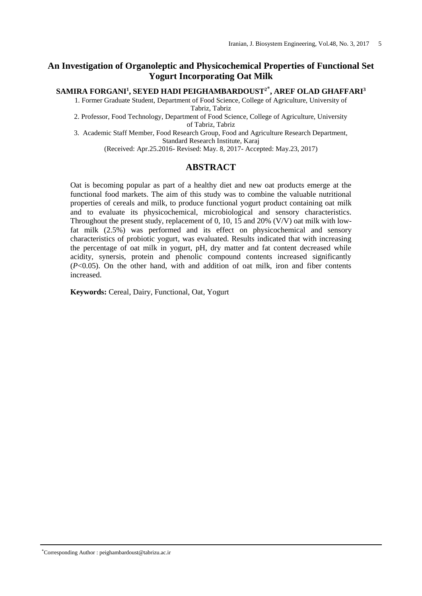# **An Investigation of Organoleptic and Physicochemical Properties of Functional Set Yogurt Incorporating Oat Milk**

**SAMIRA FORGANI<sup>1</sup> , SEYED HADI PEIGHAMBARDOUST<sup>2</sup>**\* **, AREF OLAD GHAFFARI<sup>3</sup>**

1. Former Graduate Student, Department of Food Science, College of Agriculture, University of Tabriz, Tabriz

2. Professor, Food Technology, Department of Food Science, College of Agriculture, University of Tabriz, Tabriz

3. Academic Staff Member, Food Research Group, Food and Agriculture Research Department, Standard Research Institute, Karaj

(Received: Apr.25.2016- Revised: May. 8, 2017- Accepted: May.23, 2017)

### **ABSTRACT**

Oat is becoming popular as part of a healthy diet and new oat products emerge at the functional food markets. The aim of this study was to combine the valuable nutritional properties of cereals and milk, to produce functional yogurt product containing oat milk and to evaluate its physicochemical, microbiological and sensory characteristics. Throughout the present study, replacement of 0, 10, 15 and 20% (V/V) oat milk with lowfat milk (2.5%) was performed and its effect on physicochemical and sensory characteristics of probiotic yogurt, was evaluated. Results indicated that with increasing the percentage of oat milk in yogurt, pH, dry matter and fat content decreased while acidity, synersis, protein and phenolic compound contents increased significantly (*P*<0.05). On the other hand, with and addition of oat milk, iron and fiber contents increased.

**Keywords:** Cereal, Dairy, Functional, Oat, Yogurt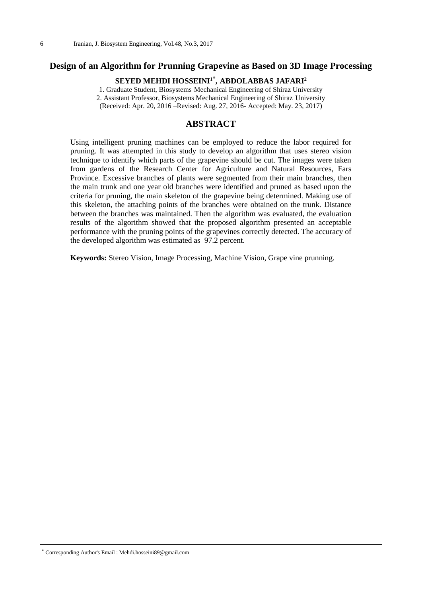# **Design of an Algorithm for Prunning Grapevine as Based on 3D Image Processing**

# **SEYED MEHDI HOSSEINI<sup>1</sup>\* , ABDOLABBAS JAFARI<sup>2</sup>**

1. Graduate Student, Biosystems Mechanical Engineering of Shiraz University 2. Assistant Professor, Biosystems Mechanical Engineering of Shiraz University (Received: Apr. 20, 2016 –Revised: Aug. 27, 2016- Accepted: May. 23, 2017)

### **ABSTRACT**

Using intelligent pruning machines can be employed to reduce the labor required for pruning. It was attempted in this study to develop an algorithm that uses stereo vision technique to identify which parts of the grapevine should be cut. The images were taken from gardens of the Research Center for Agriculture and Natural Resources, Fars Province. Excessive branches of plants were segmented from their main branches, then the main trunk and one year old branches were identified and pruned as based upon the criteria for pruning, the main skeleton of the grapevine being determined. Making use of this skeleton, the attaching points of the branches were obtained on the trunk. Distance between the branches was maintained. Then the algorithm was evaluated, the evaluation results of the algorithm showed that the proposed algorithm presented an acceptable performance with the pruning points of the grapevines correctly detected. The accuracy of the developed algorithm was estimated as 97.2 percent.

**Keywords:** Stereo Vision, Image Processing, Machine Vision, Grape vine prunning.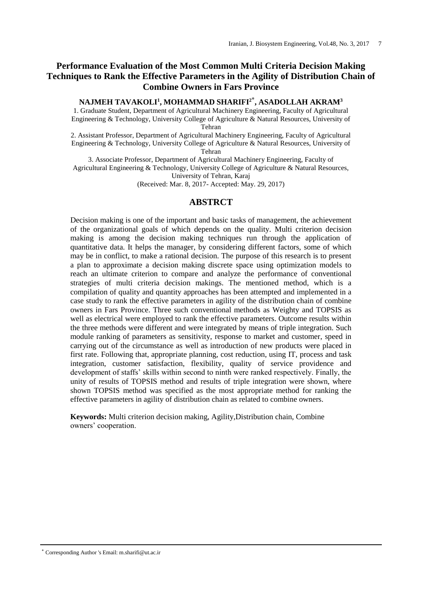# **Performance Evaluation of the Most Common Multi Criteria Decision Making Techniques to Rank the Effective Parameters in the Agility of Distribution Chain of Combine Owners in Fars Province**

# **NAJMEH TAVAKOLI<sup>1</sup> , MOHAMMAD SHARIFI<sup>2</sup>\* , ASADOLLAH AKRAM<sup>3</sup>**

1. Graduate Student, Department of Agricultural Machinery Engineering, Faculty of Agricultural Engineering & Technology, University College of Agriculture & Natural Resources, University of Tehran

2. Assistant Professor, Department of Agricultural Machinery Engineering, Faculty of Agricultural Engineering & Technology, University College of Agriculture & Natural Resources, University of Tehran

3. Associate Professor, Department of Agricultural Machinery Engineering, Faculty of Agricultural Engineering & Technology, University College of Agriculture & Natural Resources, University of Tehran, Karaj

(Received: Mar. 8, 2017- Accepted: May. 29, 2017)

### **ABSTRCT**

Decision making is one of the important and basic tasks of management, the achievement of the organizational goals of which depends on the quality. Multi criterion decision making is among the decision making techniques run through the application of quantitative data. It helps the manager, by considering different factors, some of which may be in conflict, to make a rational decision. The purpose of this research is to present a plan to approximate a decision making discrete space using optimization models to reach an ultimate criterion to compare and analyze the performance of conventional strategies of multi criteria decision makings. The mentioned method, which is a compilation of quality and quantity approaches has been attempted and implemented in a case study to rank the effective parameters in agility of the distribution chain of combine owners in Fars Province. Three such conventional methods as Weighty and TOPSIS as well as electrical were employed to rank the effective parameters. Outcome results within the three methods were different and were integrated by means of triple integration. Such module ranking of parameters as sensitivity, response to market and customer, speed in carrying out of the circumstance as well as introduction of new products were placed in first rate. Following that, appropriate planning, cost reduction, using IT, process and task integration, customer satisfaction, flexibility, quality of service providence and development of staffs' skills within second to ninth were ranked respectively. Finally, the unity of results of TOPSIS method and results of triple integration were shown, where shown TOPSIS method was specified as the most appropriate method for ranking the effective parameters in agility of distribution chain as related to combine owners.

**Keywords:** Multi criterion decision making, Agility,Distribution chain, Combine owners' cooperation.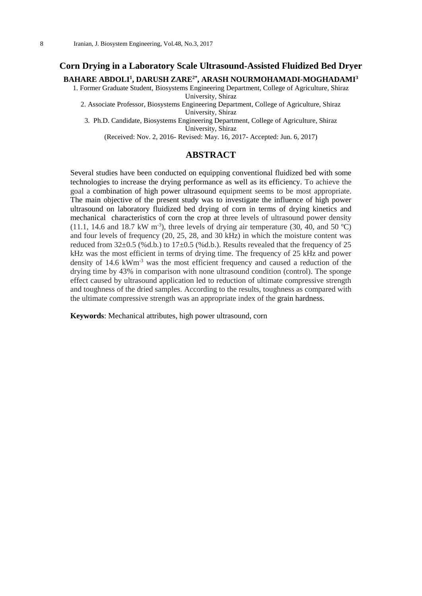#### **Corn Drying in a Laboratory Scale Ultrasound-Assisted Fluidized Bed Dryer**

#### **BAHARE ABDOLI<sup>1</sup> , DARUSH ZARE2\* , ARASH NOURMOHAMADI-MOGHADAMI<sup>3</sup>**

1. Former Graduate Student, Biosystems Engineering Department, College of Agriculture, Shiraz University, Shiraz

2. Associate Professor, Biosystems Engineering Department, College of Agriculture, Shiraz University, Shiraz

3. Ph.D. Candidate, Biosystems Engineering Department, College of Agriculture, Shiraz University, Shiraz

(Received: Nov. 2, 2016- Revised: May. 16, 2017- Accepted: Jun. 6, 2017)

#### **ABSTRACT**

Several studies have been conducted on equipping conventional fluidized bed with some technologies to increase the drying performance as well as its efficiency. To achieve the goal a combination of high power ultrasound equipment seems to be most appropriate. The main objective of the present study was to investigate the influence of high power ultrasound on laboratory fluidized bed drying of corn in terms of drying kinetics and mechanical characteristics of corn the crop at three levels of ultrasound power density  $(11.1, 14.6 \text{ and } 18.7 \text{ kW m}^{-3})$ , three levels of drying air temperature  $(30, 40, \text{ and } 50 \text{ °C})$ and four levels of frequency (20, 25, 28, and 30 kHz) in which the moisture content was reduced from  $32\pm0.5$  (%d.b.) to  $17\pm0.5$  (%d.b.). Results revealed that the frequency of 25 kHz was the most efficient in terms of drying time. The frequency of 25 kHz and power density of 14.6 kWm-3 was the most efficient frequency and caused a reduction of the drying time by 43% in comparison with none ultrasound condition (control). The sponge effect caused by ultrasound application led to reduction of ultimate compressive strength and toughness of the dried samples. According to the results, toughness as compared with the ultimate compressive strength was an appropriate index of the grain hardness.

**Keywords**: Mechanical attributes, high power ultrasound, corn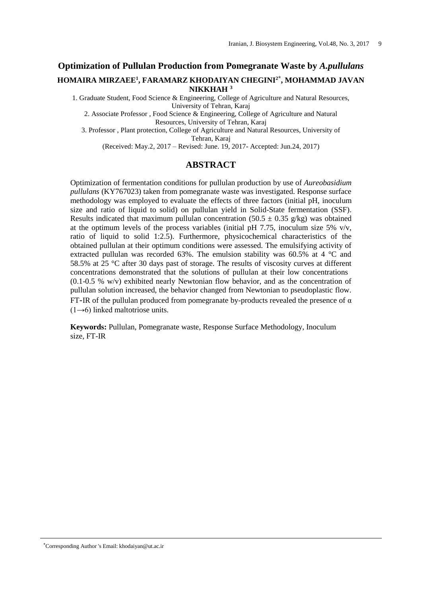# **Optimization of Pullulan Production from Pomegranate Waste by** *A.pullulans* **HOMAIRA MIRZAEE<sup>1</sup> , FARAMARZ KHODAIYAN CHEGINI<sup>2</sup>\* , MOHAMMAD JAVAN NIKKHAH <sup>3</sup>**

1. Graduate Student, Food Science & Engineering, College of Agriculture and Natural Resources, University of Tehran, Karaj

2. Associate Professor , Food Science & Engineering, College of Agriculture and Natural Resources, University of Tehran, Karaj

3. Professor , Plant protection, College of Agriculture and Natural Resources, University of Tehran, Karaj

(Received: May.2, 2017 – Revised: June. 19, 2017- Accepted: Jun.24, 2017)

#### **ABSTRACT**

Optimization of fermentation conditions for pullulan production by use of *Aureobasidium pullulans* (KY767023) taken from pomegranate waste was investigated. Response surface methodology was employed to evaluate the effects of three factors (initial pH, inoculum size and ratio of liquid to solid) on pullulan yield in Solid-State fermentation (SSF). Results indicated that maximum pullulan concentration (50.5  $\pm$  0.35 g/kg) was obtained at the optimum levels of the process variables (initial pH 7.75, inoculum size 5%  $v/v$ , ratio of liquid to solid 1:2.5). Furthermore, physicochemical characteristics of the obtained pullulan at their optimum conditions were assessed. The emulsifying activity of extracted pullulan was recorded 63%. The emulsion stability was 60.5% at 4 °C and 58.5% at 25 °C after 30 days past of storage. The results of viscosity curves at different concentrations demonstrated that the solutions of pullulan at their low concentrations (0.1-0.5 % w/v) exhibited nearly Newtonian flow behavior, and as the concentration of pullulan solution increased, the behavior changed from Newtonian to pseudoplastic flow. FT-IR of the pullulan produced from pomegranate by-products revealed the presence of  $\alpha$  $(1\rightarrow 6)$  linked maltotriose units.

**Keywords:** Pullulan, Pomegranate waste, Response Surface Methodology, Inoculum size, FT-IR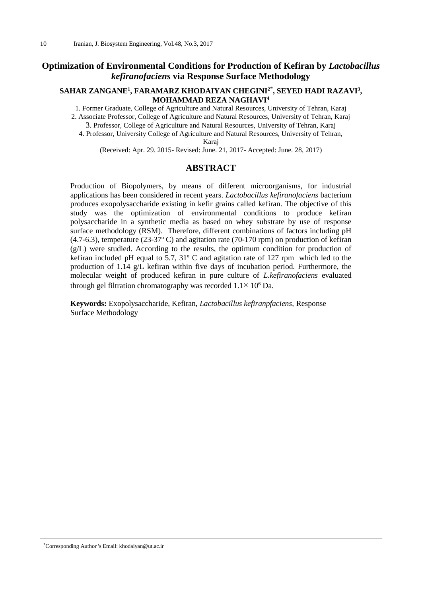# **Optimization of Environmental Conditions for Production of Kefiran by** *Lactobacillus kefiranofaciens* **via Response Surface Methodology**

#### **SAHAR ZANGANE<sup>1</sup> , FARAMARZ KHODAIYAN CHEGINI<sup>2</sup>\* , SEYED HADI RAZAVI<sup>3</sup> , MOHAMMAD REZA NAGHAVI<sup>4</sup>**

1. Former Graduate, College of Agriculture and Natural Resources, University of Tehran, Karaj 2. Associate Professor, College of Agriculture and Natural Resources, University of Tehran, Karaj

3. Professor, College of Agriculture and Natural Resources, University of Tehran, Karaj

4. Professor, University College of Agriculture and Natural Resources, University of Tehran, Karaj

(Received: Apr. 29. 2015- Revised: June. 21, 2017- Accepted: June. 28, 2017)

#### **ABSTRACT**

Production of Biopolymers, by means of different microorganisms, for industrial applications has been considered in recent years. *Lactobacillus kefiranofaciens* bacterium produces exopolysaccharide existing in kefir grains called kefiran. The objective of this study was the optimization of environmental conditions to produce kefiran polysaccharide in a synthetic media as based on whey substrate by use of response surface methodology (RSM). Therefore, different combinations of factors including pH (4.7-6.3), temperature (23-37º C) and agitation rate (70-170 rpm) on production of kefiran (g/L) were studied. According to the results, the optimum condition for production of kefiran included pH equal to 5.7, 31º C and agitation rate of 127 rpm which led to the production of 1.14 g/L kefiran within five days of incubation period. Furthermore, the molecular weight of produced kefiran in pure culture of *L.kefiranofaciens* evaluated through gel filtration chromatography was recorded  $1.1 \times 10^6$  Da.

**Keywords:** Exopolysaccharide, Kefiran, *Lactobacillus kefiranpfaciens*, Response Surface Methodology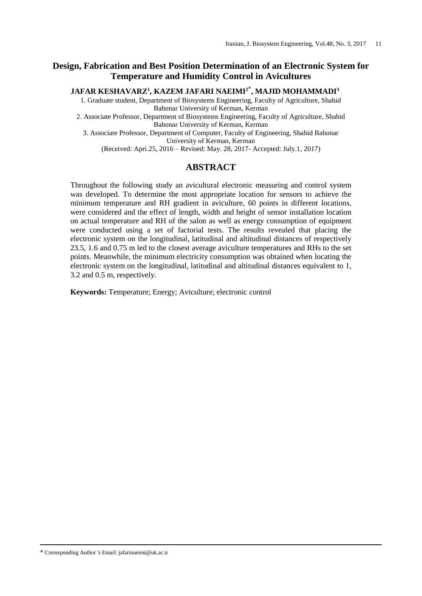# **Design, Fabrication and Best Position Determination of an Electronic System for Temperature and Humidity Control in Avicultures**

**JAFAR KESHAVARZ<sup>1</sup> , KAZEM JAFARI NAEIMI<sup>2</sup>**\* **, MAJID MOHAMMADI<sup>3</sup>**

1. Graduate student, Department of Biosystems Engineering, Faculty of Agriculture, Shahid Bahonar University of Kerman, Kerman

2. Associate Professor, Department of Biosystems Engineering, Faculty of Agriculture, Shahid Bahonar University of Kerman, Kerman

3. Associate Professor, Department of Computer, Faculty of Engineering, Shahid Bahonar University of Kerman, Kerman

(Received: Apri.25, 2016 – Revised: May. 28, 2017- Accepted: July.1, 2017)

### **ABSTRACT**

Throughout the following study an avicultural electronic measuring and control system was developed. To determine the most appropriate location for sensors to achieve the minimum temperature and RH gradient in aviculture, 60 points in different locations, were considered and the effect of length, width and height of sensor installation location on actual temperature and RH of the salon as well as energy consumption of equipment were conducted using a set of factorial tests. The results revealed that placing the electronic system on the longitudinal, latitudinal and altitudinal distances of respectively 23.5, 1.6 and 0.75 m led to the closest average aviculture temperatures and RHs to the set points. Meanwhile, the minimum electricity consumption was obtained when locating the electronic system on the longitudinal, latitudinal and altitudinal distances equivalent to 1, 3.2 and 0.5 m, respectively.

**Keywords:** Temperature; Energy; Aviculture; electronic control

\* Corresponding Author 's Email: jafarinaeimi@uk.ac.ir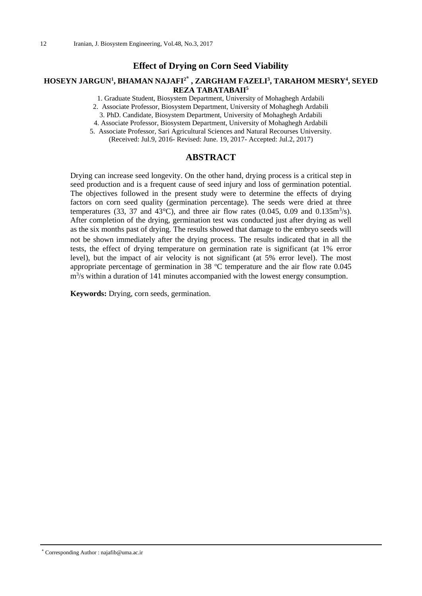### **Effect of Drying on Corn Seed Viability**

### **HOSEYN JARGUN<sup>1</sup> , BHAMAN NAJAFI<sup>2</sup>\* , ZARGHAM FAZELI<sup>3</sup> , TARAHOM MESRY<sup>4</sup> , SEYED REZA TABATABAII<sup>5</sup>**

1. Graduate Student, Biosystem Department, University of Mohaghegh Ardabili

2. Associate Professor, Biosystem Department, University of Mohaghegh Ardabili

3. PhD. Candidate, Biosystem Department, University of Mohaghegh Ardabili

4. Associate Professor, Biosystem Department, University of Mohaghegh Ardabili

5. Associate Professor, Sari Agricultural Sciences and Natural Recourses University. (Received: Jul.9, 2016- Revised: June. 19, 2017- Accepted: Jul.2, 2017)

#### **ABSTRACT**

Drying can increase seed longevity. On the other hand, drying process is a critical step in seed production and is a frequent cause of seed injury and loss of germination potential. The objectives followed in the present study were to determine the effects of drying factors on corn seed quality (germination percentage). The seeds were dried at three temperatures (33, 37 and 43°C), and three air flow rates (0.045, 0.09 and 0.135 $\text{m}^3\text{/s}$ ). After completion of the drying, germination test was conducted just after drying as well as the six months past of drying. The results showed that damage to the embryo seeds will not be shown immediately after the drying process. The results indicated that in all the tests, the effect of drying temperature on germination rate is significant (at 1% error level), but the impact of air velocity is not significant (at 5% error level). The most appropriate percentage of germination in 38  $^{\circ}$ C temperature and the air flow rate 0.045 m<sup>3</sup>/s within a duration of 141 minutes accompanied with the lowest energy consumption.

**Keywords:** Drying, corn seeds, germination.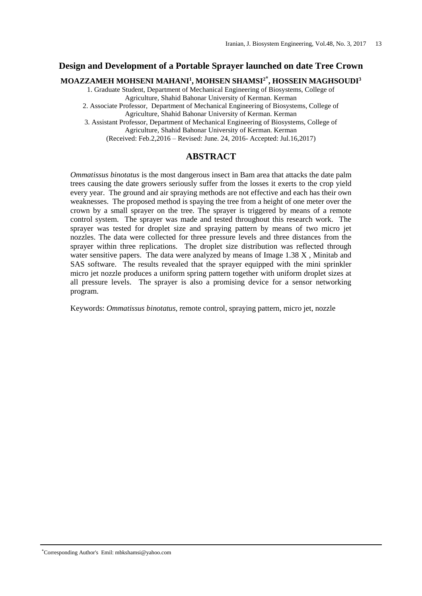#### **Design and Development of a Portable Sprayer launched on date Tree Crown**

# **MOAZZAMEH MOHSENI MAHANI<sup>1</sup> , MOHSEN SHAMSI<sup>2</sup>\* , HOSSEIN MAGHSOUDI<sup>3</sup>**

1. Graduate Student, Department of Mechanical Engineering of Biosystems, College of Agriculture, Shahid Bahonar University of Kerman. Kerman

2. Associate Professor, Department of Mechanical Engineering of Biosystems, College of

Agriculture, Shahid Bahonar University of Kerman. Kerman

3. Assistant Professor, Department of Mechanical Engineering of Biosystems, College of Agriculture, Shahid Bahonar University of Kerman. Kerman

(Received: Feb.2,2016 – Revised: June. 24, 2016- Accepted: Jul.16,2017)

### **ABSTRACT**

*Ommatissus binotatus* is the most dangerous insect in Bam area that attacks the date palm trees causing the date growers seriously suffer from the losses it exerts to the crop yield every year. The ground and air spraying methods are not effective and each has their own weaknesses. The proposed method is spaying the tree from a height of one meter over the crown by a small sprayer on the tree. The sprayer is triggered by means of a remote control system. The sprayer was made and tested throughout this research work. The sprayer was tested for droplet size and spraying pattern by means of two micro jet nozzles. The data were collected for three pressure levels and three distances from the sprayer within three replications. The droplet size distribution was reflected through water sensitive papers. The data were analyzed by means of Image 1.38 X , Minitab and SAS software. The results revealed that the sprayer equipped with the mini sprinkler micro jet nozzle produces a uniform spring pattern together with uniform droplet sizes at all pressure levels. The sprayer is also a promising device for a sensor networking program.

Keywords: *Ommatissus binotatus*, remote control, spraying pattern, micro jet, nozzle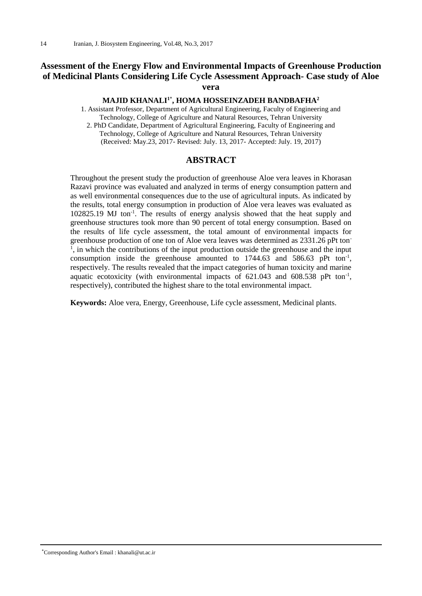# **Assessment of the Energy Flow and Environmental Impacts of Greenhouse Production of Medicinal Plants Considering Life Cycle Assessment Approach- Case study of Aloe vera**

#### **MAJID KHANALI<sup>1</sup>**\* **, HOMA HOSSEINZADEH BANDBAFHA<sup>2</sup>**

1. Assistant Professor, Department of Agricultural Engineering, Faculty of Engineering and Technology, College of Agriculture and Natural Resources, Tehran University 2. PhD Candidate, Department of Agricultural Engineering, Faculty of Engineering and Technology, College of Agriculture and Natural Resources, Tehran University (Received: May.23, 2017- Revised: July. 13, 2017- Accepted: July. 19, 2017)

### **ABSTRACT**

Throughout the present study the production of greenhouse Aloe vera leaves in Khorasan Razavi province was evaluated and analyzed in terms of energy consumption pattern and as well environmental consequences due to the use of agricultural inputs. As indicated by the results, total energy consumption in production of Aloe vera leaves was evaluated as 102825.19 MJ ton<sup>-1</sup>. The results of energy analysis showed that the heat supply and greenhouse structures took more than 90 percent of total energy consumption. Based on the results of life cycle assessment, the total amount of environmental impacts for greenhouse production of one ton of Aloe vera leaves was determined as 2331.26 pPt ton-<sup>1</sup>, in which the contributions of the input production outside the greenhouse and the input consumption inside the greenhouse amounted to  $1744.63$  and  $586.63$  pPt ton<sup>-1</sup>, respectively. The results revealed that the impact categories of human toxicity and marine aquatic ecotoxicity (with environmental impacts of  $621.043$  and  $608.538$  pPt ton<sup>-1</sup>, respectively), contributed the highest share to the total environmental impact.

**Keywords:** Aloe vera, Energy, Greenhouse, Life cycle assessment, Medicinal plants.